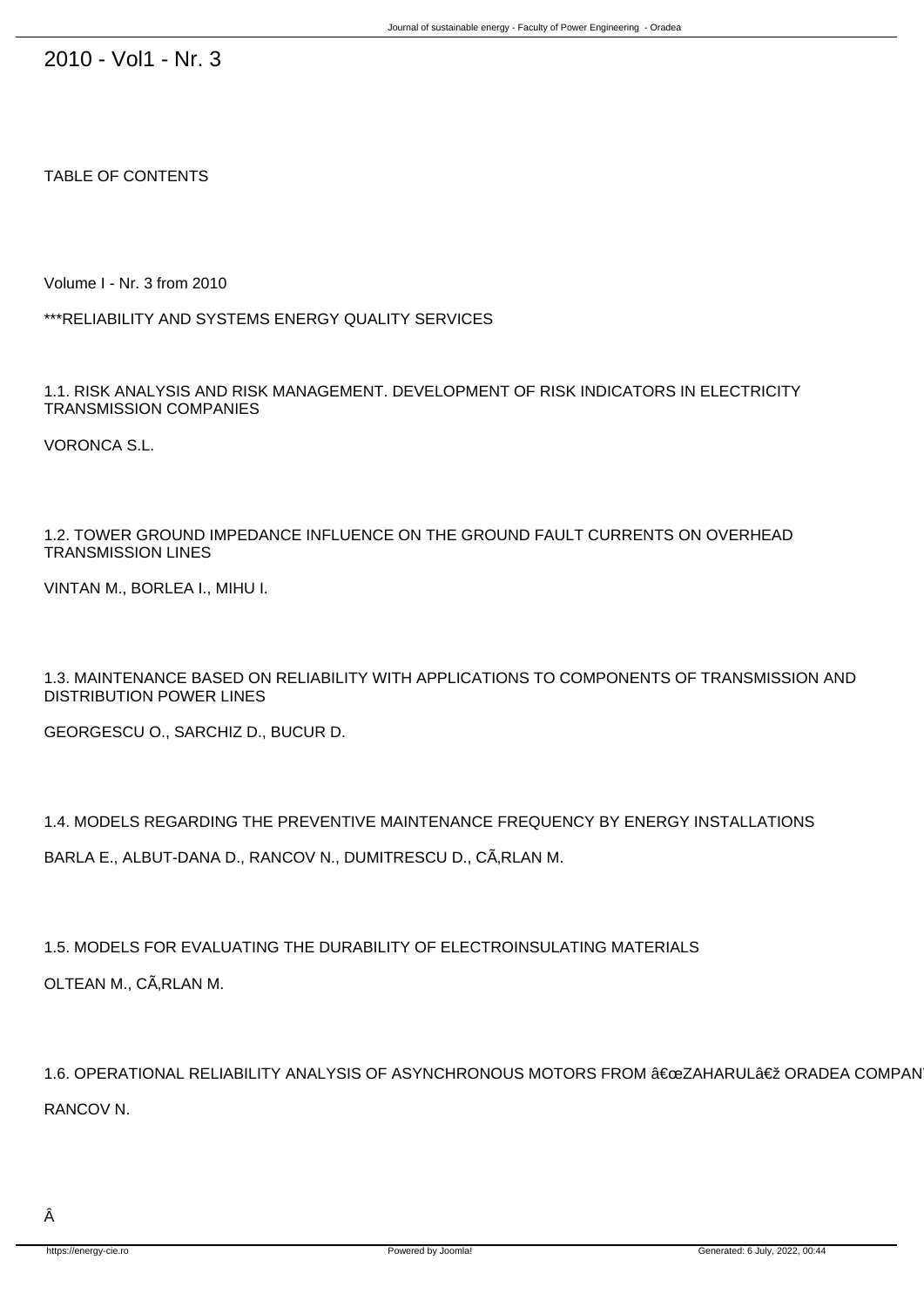2010 - Vol1 - Nr. 3

TABLE OF CONTENTS

Volume I - Nr. 3 from 2010

\*\*\*RELIABILITY AND SYSTEMS ENERGY QUALITY SERVICES

1.1. RISK ANALYSIS AND RISK MANAGEMENT. DEVELOPMENT OF RISK INDICATORS IN ELECTRICITY TRANSMISSION COMPANIES

VORONCA S.L.

1.2. TOWER GROUND IMPEDANCE INFLUENCE ON THE GROUND FAULT CURRENTS ON OVERHEAD TRANSMISSION LINES

VINTAN M., BORLEA I., MIHU I.

1.3. MAINTENANCE BASED ON RELIABILITY WITH APPLICATIONS TO COMPONENTS OF TRANSMISSION AND DISTRIBUTION POWER LINES

GEORGESCU O., SARCHIZ D., BUCUR D.

1.4. MODELS REGARDING THE PREVENTIVE MAINTENANCE FREQUENCY BY ENERGY INSTALLATIONS

BARLA E., ALBUT-DANA D., RANCOV N., DUMITRESCU D., CÂRLAN M.

1.5. MODELS FOR EVALUATING THE DURABILITY OF ELECTROINSULATING MATERIALS

OLTEAN M., CÃ, RLAN M.

1.6. OPERATIONAL RELIABILITY ANALYSIS OF ASYNCHRONOUS MOTORS FROM "ZAHARUL" ORADEA COMPAN RANCOV N.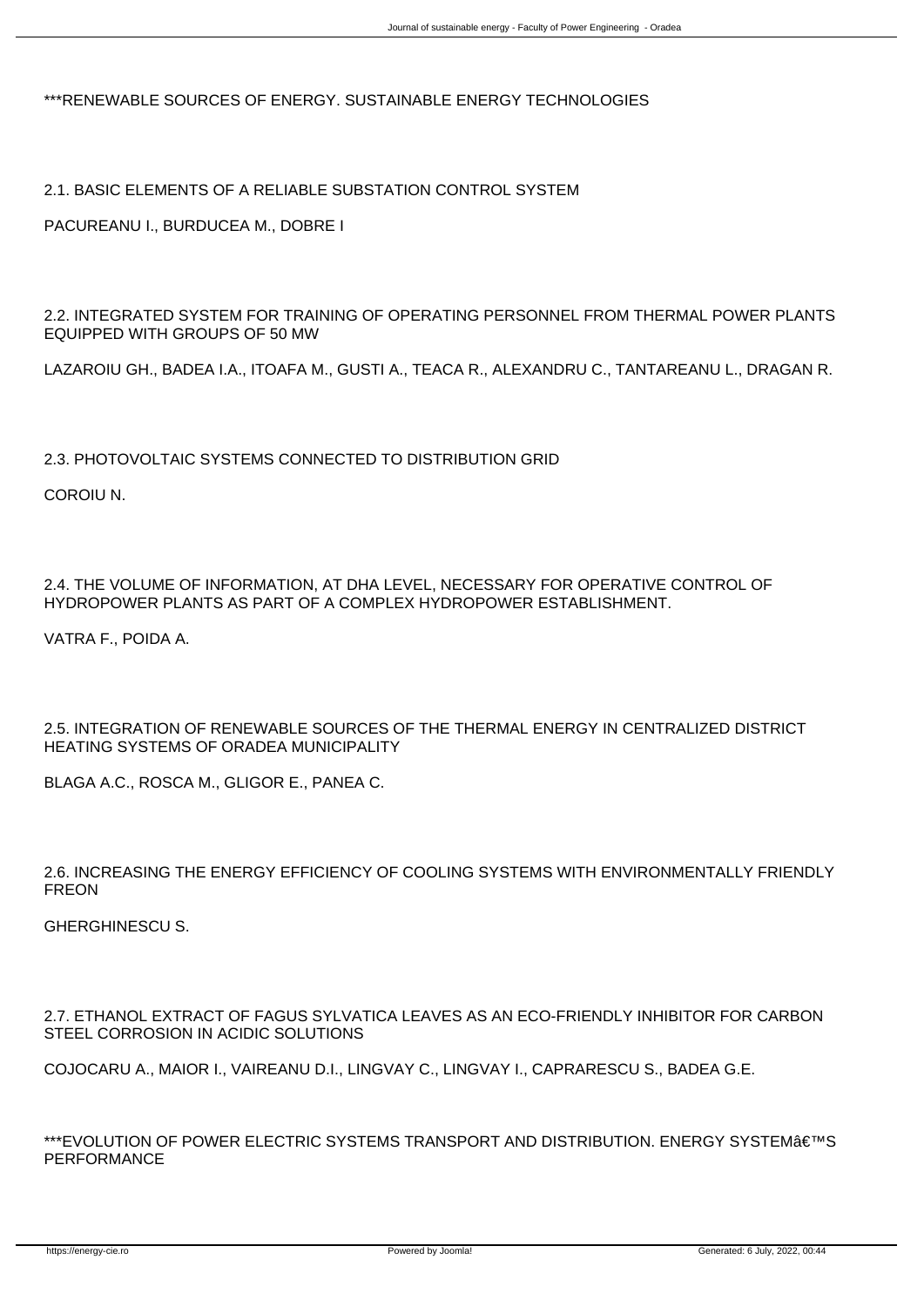\*\*\*RENEWABLE SOURCES OF ENERGY. SUSTAINABLE ENERGY TECHNOLOGIES

2.1. BASIC ELEMENTS OF A RELIABLE SUBSTATION CONTROL SYSTEM

PACUREANU I., BURDUCEA M., DOBRE I

2.2. INTEGRATED SYSTEM FOR TRAINING OF OPERATING PERSONNEL FROM THERMAL POWER PLANTS EQUIPPED WITH GROUPS OF 50 MW

LAZAROIU GH., BADEA I.A., ITOAFA M., GUSTI A., TEACA R., ALEXANDRU C., TANTAREANU L., DRAGAN R.

2.3. PHOTOVOLTAIC SYSTEMS CONNECTED TO DISTRIBUTION GRID

COROIU N.

2.4. THE VOLUME OF INFORMATION, AT DHA LEVEL, NECESSARY FOR OPERATIVE CONTROL OF HYDROPOWER PLANTS AS PART OF A COMPLEX HYDROPOWER ESTABLISHMENT.

VATRA F., POIDA A.

2.5. INTEGRATION OF RENEWABLE SOURCES OF THE THERMAL ENERGY IN CENTRALIZED DISTRICT HEATING SYSTEMS OF ORADEA MUNICIPALITY

BLAGA A.C., ROSCA M., GLIGOR E., PANEA C.

2.6. INCREASING THE ENERGY EFFICIENCY OF COOLING SYSTEMS WITH ENVIRONMENTALLY FRIENDLY FREON

GHERGHINESCU S.

2.7. ETHANOL EXTRACT OF FAGUS SYLVATICA LEAVES AS AN ECO-FRIENDLY INHIBITOR FOR CARBON STEEL CORROSION IN ACIDIC SOLUTIONS

COJOCARU A., MAIOR I., VAIREANU D.I., LINGVAY C., LINGVAY I., CAPRARESCU S., BADEA G.E.

\*\*\*EVOLUTION OF POWER ELECTRIC SYSTEMS TRANSPORT AND DISTRIBUTION. ENERGY SYSTEM€™S PERFORMANCE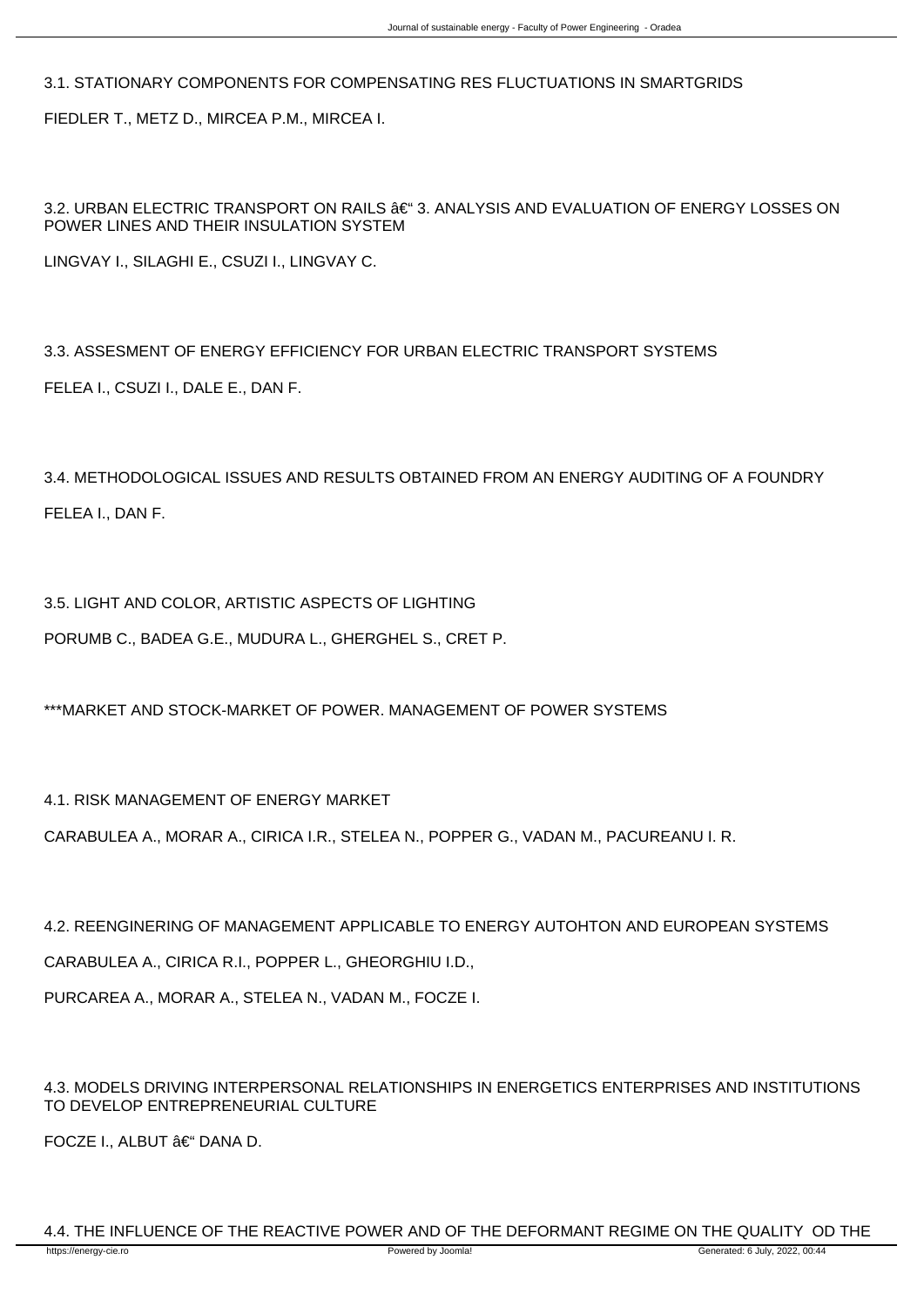3.1. STATIONARY COMPONENTS FOR COMPENSATING RES FLUCTUATIONS IN SMARTGRIDS FIEDLER T., METZ D., MIRCEA P.M., MIRCEA I.

3.2. URBAN ELECTRIC TRANSPORT ON RAILS –3. ANALYSIS AND EVALUATION OF ENERGY LOSSES ON POWER LINES AND THEIR INSULATION SYSTEM

LINGVAY I., SILAGHI E., CSUZI I., LINGVAY C.

3.3. ASSESMENT OF ENERGY EFFICIENCY FOR URBAN ELECTRIC TRANSPORT SYSTEMS FELEA I., CSUZI I., DALE E., DAN F.

3.4. METHODOLOGICAL ISSUES AND RESULTS OBTAINED FROM AN ENERGY AUDITING OF A FOUNDRY FELEA I., DAN F.

3.5. LIGHT AND COLOR, ARTISTIC ASPECTS OF LIGHTING

PORUMB C., BADEA G.E., MUDURA L., GHERGHEL S., CRET P.

\*\*\*MARKET AND STOCK-MARKET OF POWER. MANAGEMENT OF POWER SYSTEMS

4.1. RISK MANAGEMENT OF ENERGY MARKET

CARABULEA A., MORAR A., CIRICA I.R., STELEA N., POPPER G., VADAN M., PACUREANU I. R.

4.2. REENGINERING OF MANAGEMENT APPLICABLE TO ENERGY AUTOHTON AND EUROPEAN SYSTEMS

CARABULEA A., CIRICA R.I., POPPER L., GHEORGHIU I.D.,

PURCAREA A., MORAR A., STELEA N., VADAN M., FOCZE I.

4.3. MODELS DRIVING INTERPERSONAL RELATIONSHIPS IN ENERGETICS ENTERPRISES AND INSTITUTIONS TO DEVELOP ENTREPRENEURIAL CULTURE

FOCZE I., ALBUT – DANA D.

4.4. THE INFLUENCE OF THE REACTIVE POWER AND OF THE DEFORMANT REGIME ON THE QUALITY OD THE